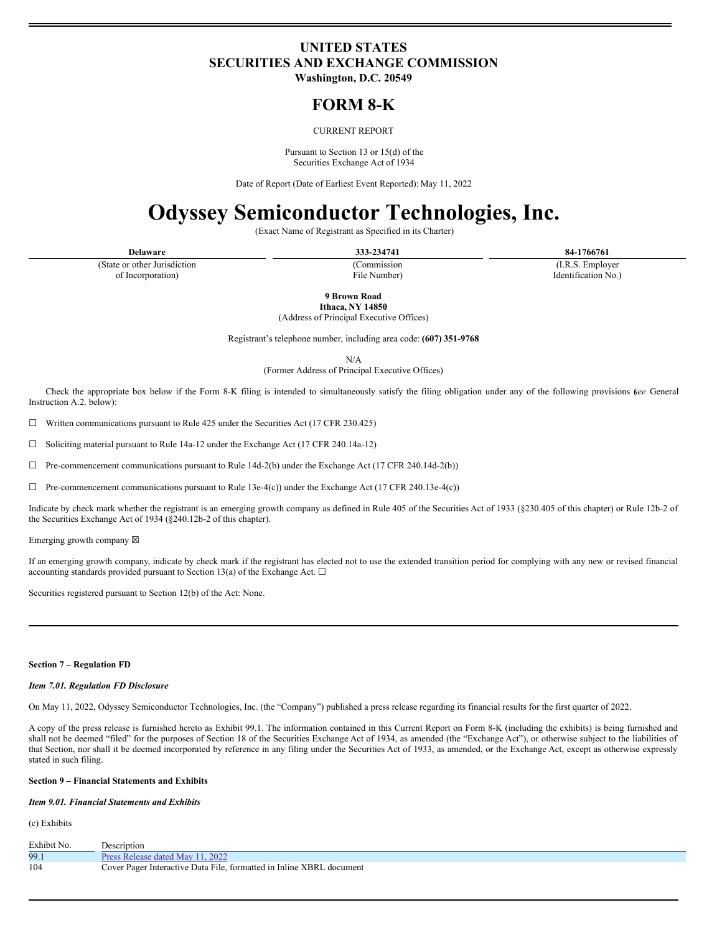# **UNITED STATES SECURITIES AND EXCHANGE COMMISSION**

**Washington, D.C. 20549**

# **FORM 8-K**

#### CURRENT REPORT

Pursuant to Section 13 or 15(d) of the Securities Exchange Act of 1934

Date of Report (Date of Earliest Event Reported): May 11, 2022

# **Odyssey Semiconductor Technologies, Inc.**

(Exact Name of Registrant as Specified in its Charter)

**Delaware 333-234741 84-1766761**

(State or other Jurisdiction of Incorporation)

(Commission File Number)

(I.R.S. Employer Identification No.)

**9 Brown Road Ithaca, NY 14850**

(Address of Principal Executive Offices)

Registrant's telephone number, including area code: **(607) 351-9768**

N/A

(Former Address of Principal Executive Offices)

Check the appropriate box below if the Form 8-K filing is intended to simultaneously satisfy the filing obligation under any of the following provisions (*see* General Instruction A.2. below):

 $\Box$  Written communications pursuant to Rule 425 under the Securities Act (17 CFR 230.425)

☐ Soliciting material pursuant to Rule 14a-12 under the Exchange Act (17 CFR 240.14a-12)

 $\Box$  Pre-commencement communications pursuant to Rule 14d-2(b) under the Exchange Act (17 CFR 240.14d-2(b))

 $\Box$  Pre-commencement communications pursuant to Rule 13e-4(c)) under the Exchange Act (17 CFR 240.13e-4(c))

Indicate by check mark whether the registrant is an emerging growth company as defined in Rule 405 of the Securities Act of 1933 (§230.405 of this chapter) or Rule 12b-2 of the Securities Exchange Act of 1934 (§240.12b-2 of this chapter).

Emerging growth company  $\boxtimes$ 

If an emerging growth company, indicate by check mark if the registrant has elected not to use the extended transition period for complying with any new or revised financial accounting standards provided pursuant to Section 13(a) of the Exchange Act.  $\Box$ 

Securities registered pursuant to Section 12(b) of the Act: None.

#### **Section 7 – Regulation FD**

#### *Item 7.01. Regulation FD Disclosure*

On May 11, 2022, Odyssey Semiconductor Technologies, Inc. (the "Company") published a press release regarding its financial results for the first quarter of 2022.

A copy of the press release is furnished hereto as Exhibit 99.1. The information contained in this Current Report on Form 8-K (including the exhibits) is being furnished and shall not be deemed "filed" for the purposes of Section 18 of the Securities Exchange Act of 1934, as amended (the "Exchange Act"), or otherwise subject to the liabilities of that Section, nor shall it be deemed incorporated by reference in any filing under the Securities Act of 1933, as amended, or the Exchange Act, except as otherwise expressly stated in such filing.

#### **Section 9 – Financial Statements and Exhibits**

#### *Item 9.01. Financial Statements and Exhibits*

(c) Exhibits

| Exhibit No. | Description                                                          |
|-------------|----------------------------------------------------------------------|
| 99.1        | Press Release dated May 11, 2022                                     |
| 104         | Cover Pager Interactive Data File, formatted in Inline XBRL document |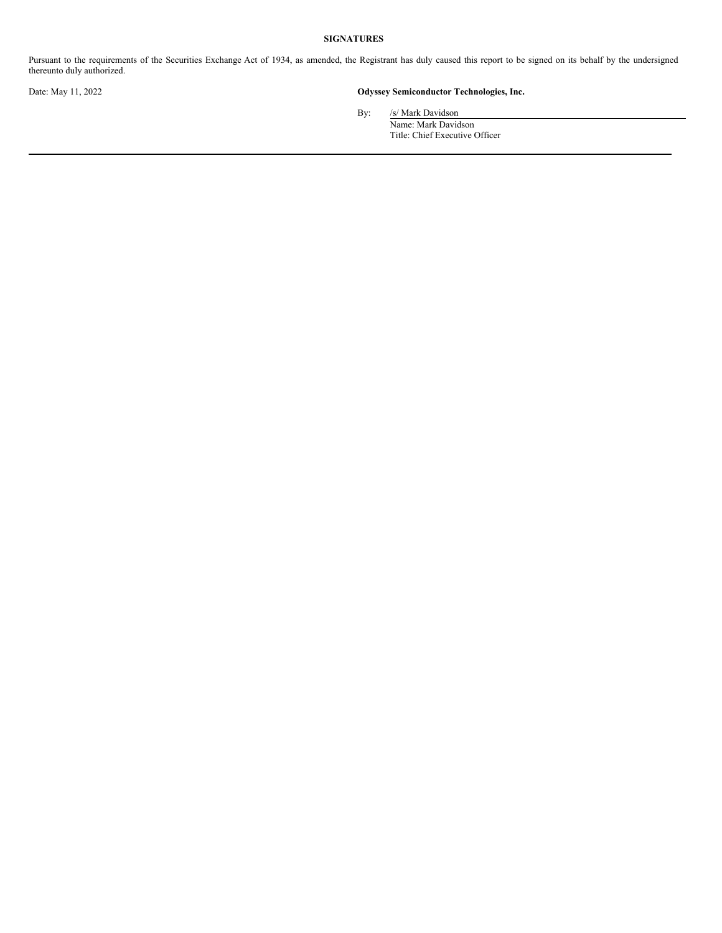# **SIGNATURES**

Pursuant to the requirements of the Securities Exchange Act of 1934, as amended, the Registrant has duly caused this report to be signed on its behalf by the undersigned thereunto duly authorized.

# Date: May 11, 2022 **Odyssey Semiconductor Technologies, Inc.**

By: /s/ Mark Davidson

Name: Mark Davidson Title: Chief Executive Officer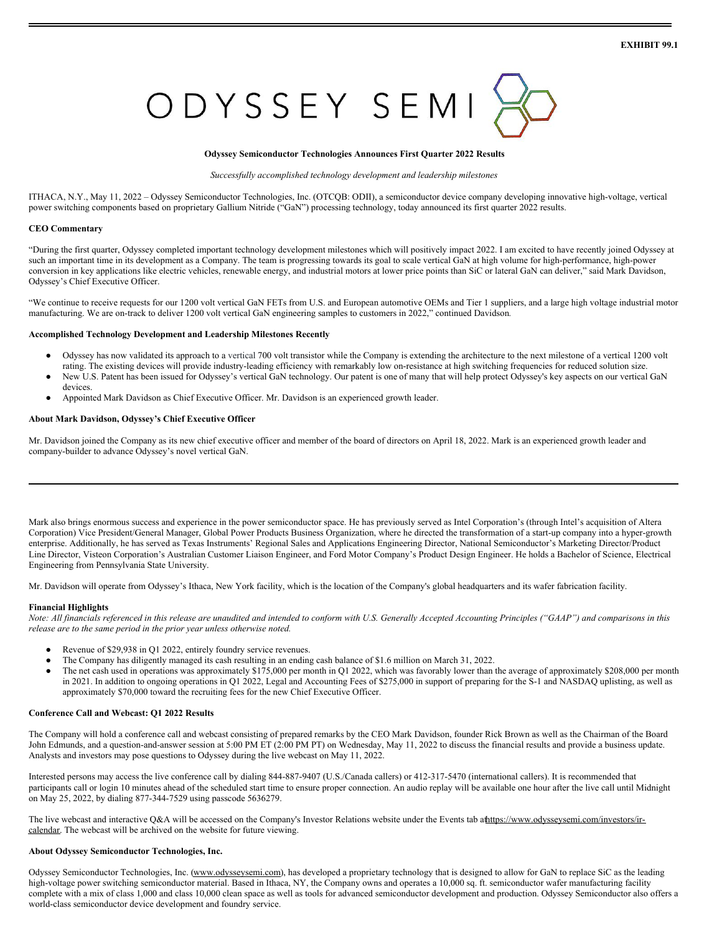# ODYSSEY SEMI

#### **Odyssey Semiconductor Technologies Announces First Quarter 2022 Results**

#### *Successfully accomplished technology development and leadership milestones*

ITHACA, N.Y., May 11, 2022 – Odyssey Semiconductor Technologies, Inc. (OTCQB: ODII), a semiconductor device company developing innovative high-voltage, vertical power switching components based on proprietary Gallium Nitride ("GaN") processing technology, today announced its first quarter 2022 results.

#### **CEO Commentary**

"During the first quarter, Odyssey completed important technology development milestones which will positively impact 2022. I am excited to have recently joined Odyssey at such an important time in its development as a Company. The team is progressing towards its goal to scale vertical GaN at high volume for high-performance, high-power conversion in key applications like electric vehicles, renewable energy, and industrial motors at lower price points than SiC or lateral GaN can deliver," said Mark Davidson, Odyssey's Chief Executive Officer.

"We continue to receive requests for our 1200 volt vertical GaN FETs from U.S. and European automotive OEMs and Tier 1 suppliers, and a large high voltage industrial motor manufacturing. We are on-track to deliver 1200 volt vertical GaN engineering samples to customers in 2022," continued Davidson.

#### **Accomplished Technology Development and Leadership Milestones Recently**

- Odyssey has now validated its approach to a vertical 700 volt transistor while the Company is extending the architecture to the next milestone of a vertical 1200 volt rating. The existing devices will provide industry-leading efficiency with remarkably low on-resistance at high switching frequencies for reduced solution size.
- New U.S. Patent has been issued for Odyssey's vertical GaN technology. Our patent is one of many that will help protect Odyssey's key aspects on our vertical GaN
- devices. Appointed Mark Davidson as Chief Executive Officer. Mr. Davidson is an experienced growth leader.

#### **About Mark Davidson, Odyssey's Chief Executive Officer**

Mr. Davidson joined the Company as its new chief executive officer and member of the board of directors on April 18, 2022. Mark is an experienced growth leader and company-builder to advance Odyssey's novel vertical GaN.

Mark also brings enormous success and experience in the power semiconductor space. He has previously served as Intel Corporation's (through Intel's acquisition of Altera Corporation) Vice President/General Manager, Global Power Products Business Organization, where he directed the transformation of a start-up company into a hyper-growth enterprise. Additionally, he has served as Texas Instruments' Regional Sales and Applications Engineering Director, National Semiconductor's Marketing Director/Product Line Director, Visteon Corporation's Australian Customer Liaison Engineer, and Ford Motor Company's Product Design Engineer. He holds a Bachelor of Science, Electrical Engineering from Pennsylvania State University.

Mr. Davidson will operate from Odyssey's Ithaca, New York facility, which is the location of the Company's global headquarters and its wafer fabrication facility.

#### **Financial Highlights**

Note: All financials referenced in this release are unaudited and intended to conform with U.S. Generally Accepted Accounting Principles ("GAAP") and comparisons in this *release are to the same period in the prior year unless otherwise noted.*

- Revenue of \$29,938 in Q1 2022, entirely foundry service revenues.
- The Company has diligently managed its cash resulting in an ending cash balance of \$1.6 million on March 31, 2022.
- The net cash used in operations was approximately \$175,000 per month in Q1 2022, which was favorably lower than the average of approximately \$208,000 per month in 2021. In addition to ongoing operations in Q1 2022, Legal and Accounting Fees of \$275,000 in support of preparing for the S-1 and NASDAQ uplisting, as well as approximately \$70,000 toward the recruiting fees for the new Chief Executive Officer.

#### **Conference Call and Webcast: Q1 2022 Results**

The Company will hold a conference call and webcast consisting of prepared remarks by the CEO Mark Davidson, founder Rick Brown as well as the Chairman of the Board John Edmunds, and a question-and-answer session at 5:00 PM ET (2:00 PM PT) on Wednesday, May 11, 2022 to discuss the financial results and provide a business update. Analysts and investors may pose questions to Odyssey during the live webcast on May 11, 2022.

Interested persons may access the live conference call by dialing 844-887-9407 (U.S./Canada callers) or 412-317-5470 (international callers). It is recommended that participants call or login 10 minutes ahead of the scheduled start time to ensure proper connection. An audio replay will be available one hour after the live call until Midnight on May 25, 2022, by dialing 877-344-7529 using passcode 5636279.

The live webcast and interactive Q&A will be accessed on the Company's Investor Relations website under the Events tab athttps://www.odysseysemi.com/investors/ircalendar. The webcast will be archived on the website for future viewing.

#### **About Odyssey Semiconductor Technologies, Inc.**

Odyssey Semiconductor Technologies, Inc. (www.odysseysemi.com), has developed a proprietary technology that is designed to allow for GaN to replace SiC as the leading high-voltage power switching semiconductor material. Based in Ithaca, NY, the Company owns and operates a 10,000 sq. ft. semiconductor wafer manufacturing facility complete with a mix of class 1,000 and class 10,000 clean space as well as tools for advanced semiconductor development and production. Odyssey Semiconductor also offers a world-class semiconductor device development and foundry service.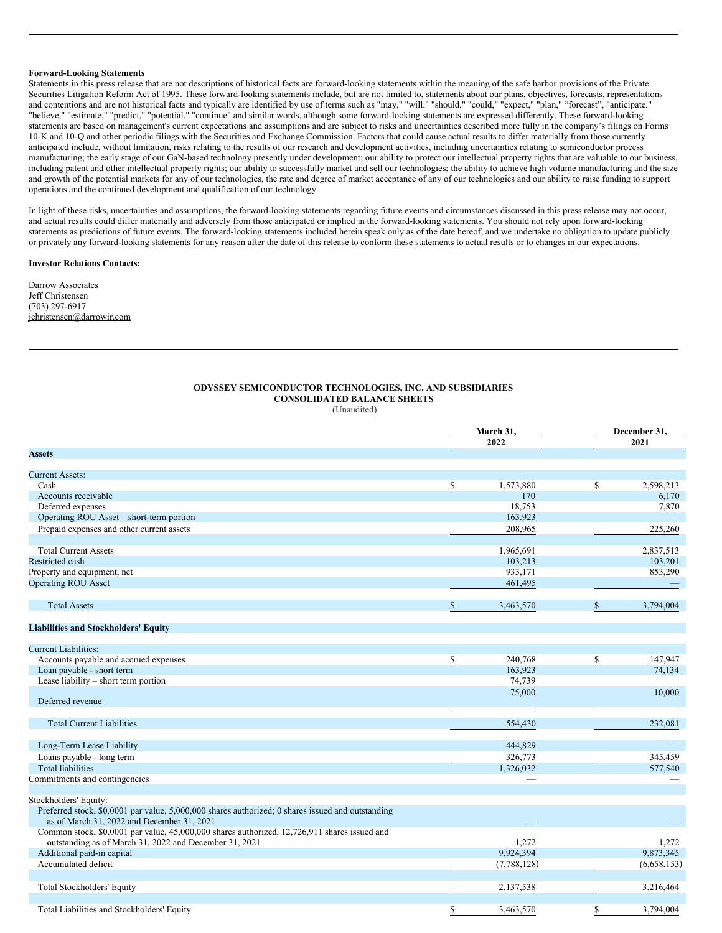#### <span id="page-3-0"></span>**Forward-Looking Statements**

Statements in this press release that are not descriptions of historical facts are forward-looking statements within the meaning of the safe harbor provisions of the Private Securities Litigation Reform Act of 1995. These forward-looking statements include, but are not limited to, statements about our plans, objectives, forecasts, representations and contentions and are not historical facts and typically are identified by use of terms such as "may," "will," "should," "could," "expect," "plan," "forecast", "anticipate," "believe," "estimate," "predict," "potential," "continue" and similar words, although some forward-looking statements are expressed differently. These forward-looking statements are based on management's current expectations and assumptions and are subject to risks and uncertainties described more fully in the company's filings on Forms 10-K and 10-Q and other periodic filings with the Securities and Exchange Commission. Factors that could cause actual results to differ materially from those currently anticipated include, without limitation, risks relating to the results of our research and development activities, including uncertainties relating to semiconductor process manufacturing; the early stage of our GaN-based technology presently under development; our ability to protect our intellectual property rights that are valuable to our business, including patent and other intellectual property rights; our ability to successfully market and sell our technologies; the ability to achieve high volume manufacturing and the size and growth of the potential markets for any of our technologies, the rate and degree of market acceptance of any of our technologies and our ability to raise funding to support operations and the continued development and qualification of our technology.

In light of these risks, uncertainties and assumptions, the forward-looking statements regarding future events and circumstances discussed in this press release may not occur, and actual results could differ materially and adversely from those anticipated or implied in the forward-looking statements. You should not rely upon forward-looking statements as predictions of future events. The forward-looking statements included herein speak only as of the date hereof, and we undertake no obligation to update publicly or privately any forward-looking statements for any reason after the date of this release to conform these statements to actual results or to changes in our expectations.

#### **Investor Relations Contacts:**

Darrow Associates Jeff Christensen (703) 297-6917 jchristensen@darrowir.com

#### **ODYSSEY SEMICONDUCTOR TECHNOLOGIES, INC. AND SUBSIDIARIES CONSOLIDATED BALANCE SHEETS**

(Unaudited)

|                                                                                                   | March 31,   |             |             | December 31, |  |
|---------------------------------------------------------------------------------------------------|-------------|-------------|-------------|--------------|--|
|                                                                                                   |             | 2022        |             | 2021         |  |
| <b>Assets</b>                                                                                     |             |             |             |              |  |
|                                                                                                   |             |             |             |              |  |
| <b>Current Assets:</b>                                                                            |             |             |             |              |  |
| Cash                                                                                              | \$          | 1,573,880   | \$          | 2,598,213    |  |
| Accounts receivable                                                                               |             | 170         |             | 6,170        |  |
| Deferred expenses                                                                                 |             | 18,753      |             | 7,870        |  |
| Operating ROU Asset - short-term portion                                                          |             | 163.923     |             |              |  |
| Prepaid expenses and other current assets                                                         |             | 208,965     |             | 225,260      |  |
|                                                                                                   |             |             |             |              |  |
| <b>Total Current Assets</b>                                                                       |             | 1,965,691   |             | 2,837,513    |  |
| Restricted cash                                                                                   |             | 103,213     |             | 103,201      |  |
| Property and equipment, net                                                                       |             | 933,171     |             | 853,290      |  |
| <b>Operating ROU Asset</b>                                                                        |             | 461,495     |             |              |  |
|                                                                                                   |             |             |             |              |  |
| <b>Total Assets</b>                                                                               | $\mathbf S$ | 3,463,570   | $\mathbf S$ | 3,794,004    |  |
|                                                                                                   |             |             |             |              |  |
| <b>Liabilities and Stockholders' Equity</b>                                                       |             |             |             |              |  |
|                                                                                                   |             |             |             |              |  |
| <b>Current Liabilities:</b>                                                                       |             |             |             |              |  |
| Accounts payable and accrued expenses                                                             | \$          | 240,768     | \$          | 147,947      |  |
| Loan payable - short term                                                                         |             | 163,923     |             | 74,134       |  |
| Lease liability – short term portion                                                              |             | 74,739      |             |              |  |
|                                                                                                   |             | 75,000      |             | 10,000       |  |
| Deferred revenue                                                                                  |             |             |             |              |  |
|                                                                                                   |             |             |             |              |  |
| <b>Total Current Liabilities</b>                                                                  |             | 554,430     |             | 232,081      |  |
|                                                                                                   |             |             |             |              |  |
| Long-Term Lease Liability                                                                         |             | 444,829     |             |              |  |
| Loans payable - long term                                                                         |             | 326,773     |             | 345,459      |  |
| <b>Total liabilities</b>                                                                          |             | 1,326,032   |             | 577,540      |  |
| Commitments and contingencies                                                                     |             |             |             |              |  |
|                                                                                                   |             |             |             |              |  |
| Stockholders' Equity:                                                                             |             |             |             |              |  |
| Preferred stock, \$0.0001 par value, 5,000,000 shares authorized; 0 shares issued and outstanding |             |             |             |              |  |
| as of March 31, 2022 and December 31, 2021                                                        |             |             |             |              |  |
| Common stock, \$0.0001 par value, 45,000,000 shares authorized, 12,726,911 shares issued and      |             |             |             |              |  |
| outstanding as of March 31, 2022 and December 31, 2021                                            |             | 1,272       |             | 1,272        |  |
| Additional paid-in capital                                                                        |             | 9,924,394   |             | 9,873,345    |  |
| Accumulated deficit                                                                               |             | (7,788,128) |             | (6,658,153)  |  |
|                                                                                                   |             |             |             |              |  |
| <b>Total Stockholders' Equity</b>                                                                 |             | 2,137,538   |             | 3,216,464    |  |
|                                                                                                   |             |             |             |              |  |
| Total Liabilities and Stockholders' Equity                                                        | \$          | 3,463,570   | \$          | 3,794,004    |  |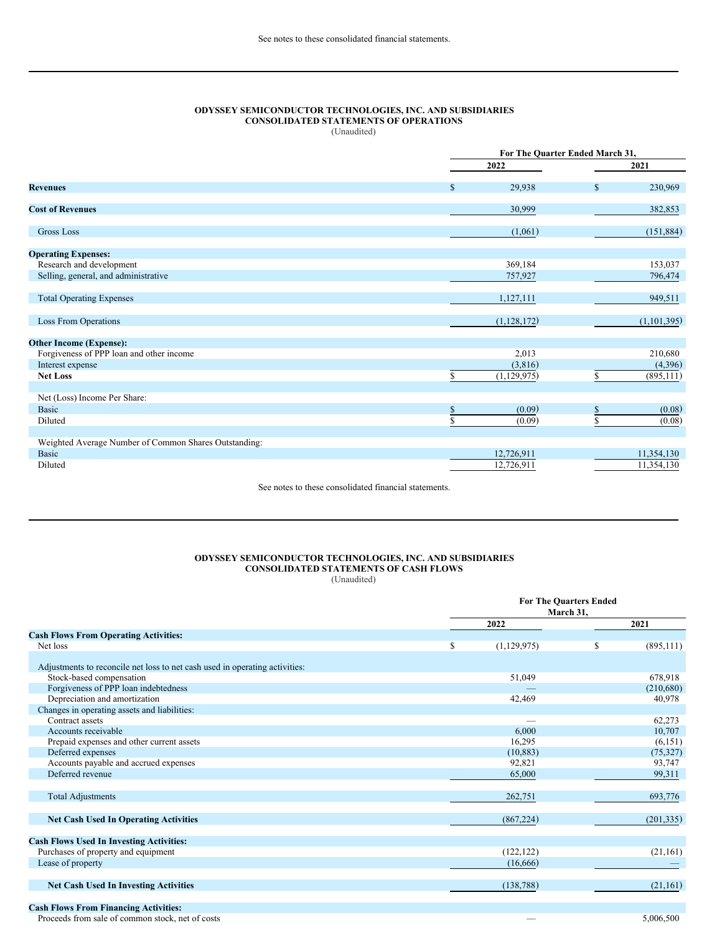## **ODYSSEY SEMICONDUCTOR TECHNOLOGIES, INC. AND SUBSIDIARIES CONSOLIDATED STATEMENTS OF OPERATIONS**

(Unaudited)

|                                                       |                        | For The Quarter Ended March 31, |  |  |
|-------------------------------------------------------|------------------------|---------------------------------|--|--|
|                                                       | 2022                   | 2021                            |  |  |
| <b>Revenues</b>                                       | $\mathbb{S}$<br>29,938 | \$<br>230,969                   |  |  |
| <b>Cost of Revenues</b>                               | 30,999                 | 382,853                         |  |  |
| <b>Gross Loss</b>                                     | (1,061)                | (151, 884)                      |  |  |
| <b>Operating Expenses:</b>                            |                        |                                 |  |  |
| Research and development                              | 369,184                | 153,037                         |  |  |
| Selling, general, and administrative                  | 757,927                | 796,474                         |  |  |
| <b>Total Operating Expenses</b>                       | 1,127,111              | 949,511                         |  |  |
| Loss From Operations                                  | (1,128,172)            | (1,101,395)                     |  |  |
| <b>Other Income (Expense):</b>                        |                        |                                 |  |  |
| Forgiveness of PPP loan and other income              | 2,013                  | 210,680                         |  |  |
| Interest expense                                      | (3,816)                | (4,396)                         |  |  |
| <b>Net Loss</b>                                       | \$<br>(1, 129, 975)    | $\mathbb{S}$<br>(895, 111)      |  |  |
| Net (Loss) Income Per Share:                          |                        |                                 |  |  |
| <b>Basic</b>                                          | $\$$<br>(0.09)         | \$<br>(0.08)                    |  |  |
| Diluted                                               | \$<br>(0.09)           | \$<br>(0.08)                    |  |  |
| Weighted Average Number of Common Shares Outstanding: |                        |                                 |  |  |
| <b>Basic</b>                                          | 12,726,911             | 11,354,130                      |  |  |
| Diluted                                               | 12,726,911             | 11,354,130                      |  |  |

See notes to these consolidated financial statements.

## **ODYSSEY SEMICONDUCTOR TECHNOLOGIES, INC. AND SUBSIDIARIES CONSOLIDATED STATEMENTS OF CASH FLOWS**

(Unaudited)

|                                                                             | <b>For The Quarters Ended</b><br>March 31, |   |            |
|-----------------------------------------------------------------------------|--------------------------------------------|---|------------|
|                                                                             | 2022                                       |   | 2021       |
| <b>Cash Flows From Operating Activities:</b>                                |                                            |   |            |
| Net loss                                                                    | \$<br>(1,129,975)                          | S | (895, 111) |
| Adjustments to reconcile net loss to net cash used in operating activities: |                                            |   |            |
| Stock-based compensation                                                    | 51,049                                     |   | 678,918    |
| Forgiveness of PPP loan indebtedness                                        |                                            |   | (210,680)  |
| Depreciation and amortization                                               | 42,469                                     |   | 40,978     |
| Changes in operating assets and liabilities:                                |                                            |   |            |
| Contract assets                                                             |                                            |   | 62,273     |
| Accounts receivable                                                         | 6,000                                      |   | 10,707     |
| Prepaid expenses and other current assets                                   | 16,295                                     |   | (6,151)    |
| Deferred expenses                                                           | (10, 883)                                  |   | (75, 327)  |
| Accounts payable and accrued expenses                                       | 92,821                                     |   | 93,747     |
| Deferred revenue                                                            | 65,000                                     |   | 99,311     |
|                                                                             |                                            |   |            |
| <b>Total Adjustments</b>                                                    | 262,751                                    |   | 693,776    |
|                                                                             |                                            |   |            |
| <b>Net Cash Used In Operating Activities</b>                                | (867, 224)                                 |   | (201, 335) |
|                                                                             |                                            |   |            |
| <b>Cash Flows Used In Investing Activities:</b>                             |                                            |   |            |
| Purchases of property and equipment                                         | (122, 122)                                 |   | (21, 161)  |
| Lease of property                                                           | (16,666)                                   |   |            |
|                                                                             |                                            |   |            |
| <b>Net Cash Used In Investing Activities</b>                                | (138, 788)                                 |   | (21,161)   |
| <b>Cash Flows From Financing Activities:</b>                                |                                            |   |            |
| Proceeds from sale of common stock, net of costs                            | _                                          |   | 5,006,500  |